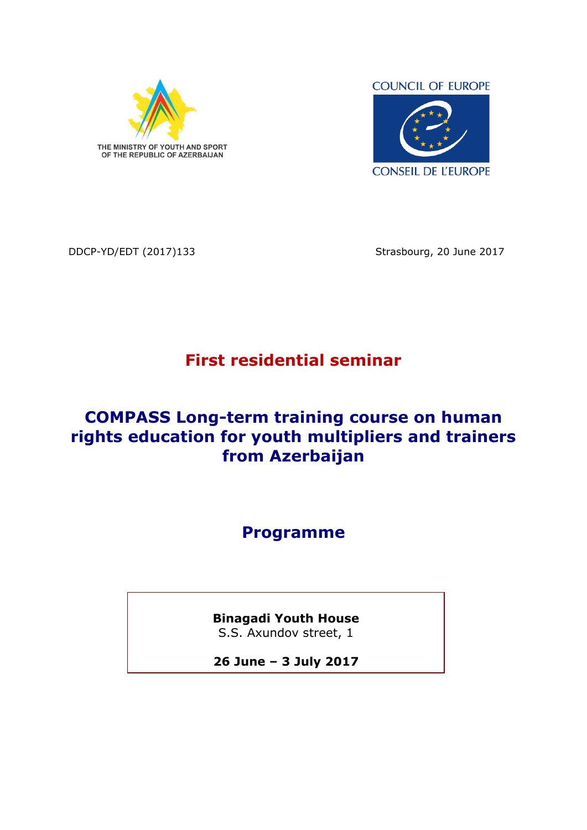

**COUNCIL OF EUROPE** 



DDCP-YD/EDT (2017)133 Strasbourg, 20 June 2017

# **First residential seminar**

# **COMPASS Long-term training course on human rights education for youth multipliers and trainers from Azerbaijan**

# **Programme**

**Binagadi Youth House** S.S. Axundov street, 1

**26 June – 3 July 2017**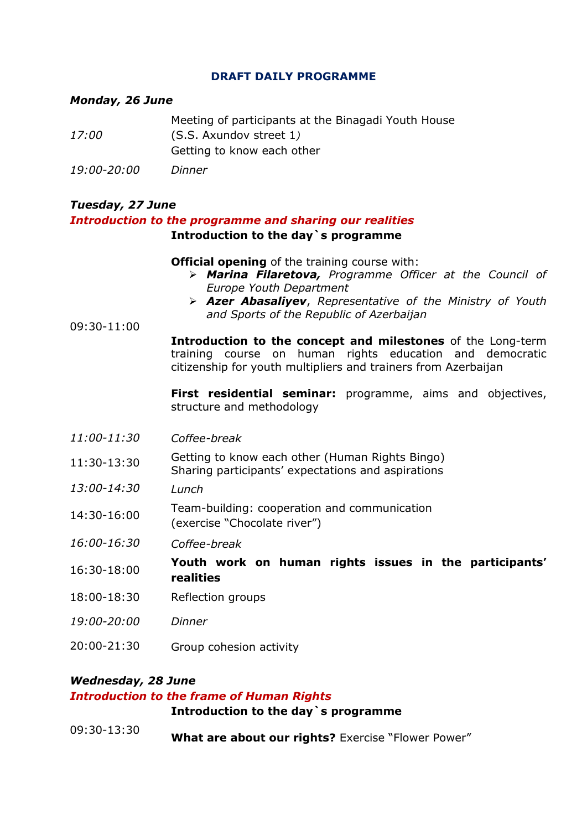### **DRAFT DAILY PROGRAMME**

#### *Monday, 26 June*

09:30-11:00

|                    | Meeting of participants at the Binagadi Youth House |
|--------------------|-----------------------------------------------------|
| <i>17:00</i>       | (S.S. Axundov street 1)                             |
|                    | Getting to know each other                          |
| <i>19:00-20:00</i> | Dinner                                              |

### *Tuesday, 27 June Introduction to the programme and sharing our realities* **Introduction to the day`s programme**

#### **Official opening** of the training course with:

- *Marina Filaretova, Programme Officer at the Council of Europe Youth Department*
- *Azer Abasaliyev*, *Representative of the Ministry of Youth and Sports of the Republic of Azerbaijan*

### **Introduction to the concept and milestones** of the Long-term training course on human rights education and democratic citizenship for youth multipliers and trainers from Azerbaijan

**First residential seminar:** programme, aims and objectives, structure and methodology

- *11:00-11:30 Coffee-break*
- 11:30-13:30 Getting to know each other (Human Rights Bingo)
	- Sharing participants' expectations and aspirations
- *13:00-14:30 Lunch*
- 14:30-16:00 Team-building: cooperation and communication
- (exercise "Chocolate river")
- *16:00-16:30 Coffee-break*
- 16:30-18:00 **Youth work on human rights issues in the participants' realities**
- 18:00-18:30 Reflection groups
- *19:00-20:00 Dinner*
- 20:00-21:30 Group cohesion activity

#### *Wednesday, 28 June*

#### *Introduction to the frame of Human Rights*

**Introduction to the day`s programme**

| 09:30-13:30 |                                                    |  |
|-------------|----------------------------------------------------|--|
|             | What are about our rights? Exercise "Flower Power" |  |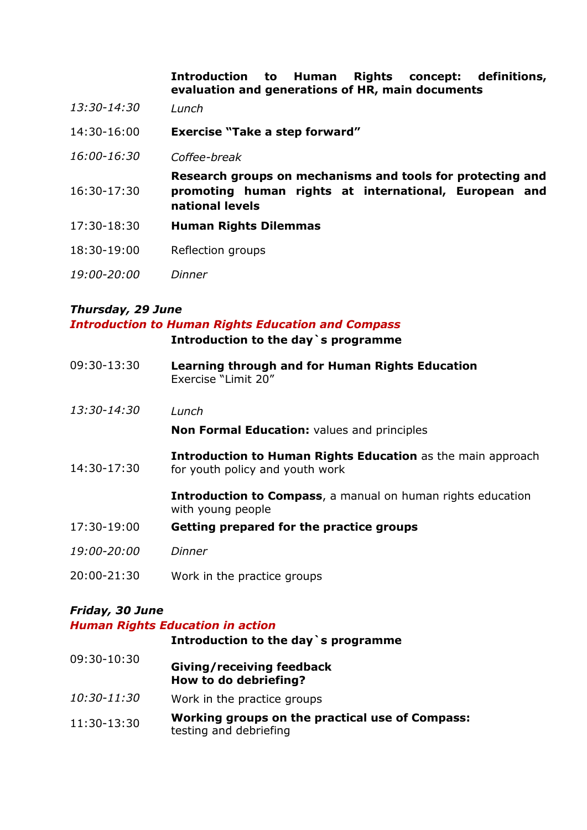**Introduction to Human Rights concept: definitions, evaluation and generations of HR, main documents**

- *13:30-14:30 Lunch*
- 14:30-16:00 **Exercise "Take a step forward"**
- *16:00-16:30 Coffee-break*

16:30-17:30 **Research groups on mechanisms and tools for protecting and promoting human rights at international, European and national levels**

- 17:30-18:30 **Human Rights Dilemmas**
- 18:30-19:00 Reflection groups
- *19:00-20:00 Dinner*

## *Thursday, 29 June*

## *Introduction to Human Rights Education and Compass* **Introduction to the day`s programme**

- 09:30-13:30 **Learning through and for Human Rights Education** Exercise "Limit 20"
- *13:30-14:30 Lunch*

**Non Formal Education:** values and principles

14:30-17:30 **Introduction to Human Rights Education** as the main approach for youth policy and youth work

> **Introduction to Compass**, a manual on human rights education with young people

- 17:30-19:00 **Getting prepared for the practice groups**
- *19:00-20:00 Dinner*
- 20:00-21:30 Work in the practice groups

## *Friday, 30 June*

#### *Human Rights Education in action*

**Introduction to the day`s programme**

- 09:30-10:30 **Giving/receiving feedback How to do debriefing?**
- *10:30-11:30* Work in the practice groups
- 11:30-13:30 **Working groups on the practical use of Compass:**  testing and debriefing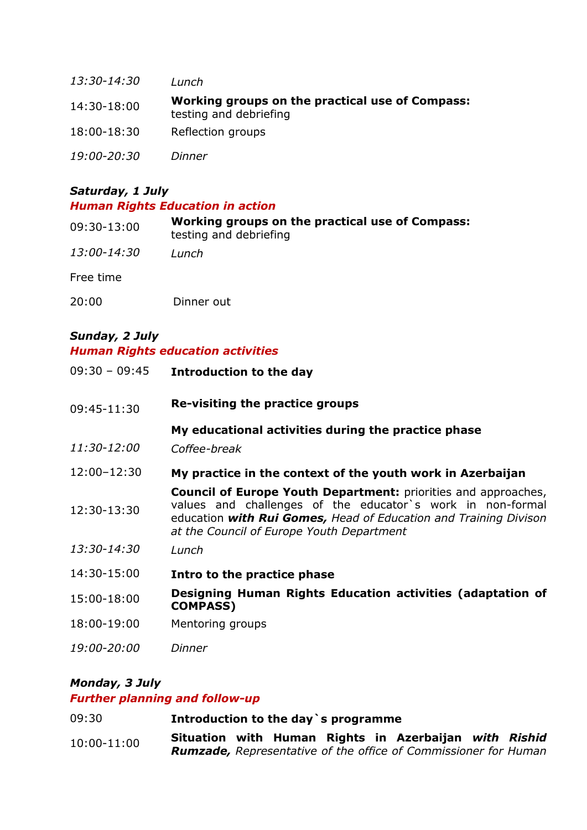| 13:30-14:30 | Lunch                                                                     |
|-------------|---------------------------------------------------------------------------|
| 14:30-18:00 | Working groups on the practical use of Compass:<br>testing and debriefing |
| 18:00-18:30 | Reflection groups                                                         |
| 19:00-20:30 | Dinner                                                                    |

# *Saturday, 1 July Human Rights Education in action*

| 09:30-13:00 | Working groups on the practical use of Compass:<br>testing and debriefing |
|-------------|---------------------------------------------------------------------------|
| 13:00-14:30 | Lunch                                                                     |
| Free time   |                                                                           |
| 20:00       | Dinner out                                                                |

## *Sunday, 2 July Human Rights education activities*

| $09:30 - 09:45$ | Introduction to the day                                                                                                                                                                                                                              |
|-----------------|------------------------------------------------------------------------------------------------------------------------------------------------------------------------------------------------------------------------------------------------------|
| 09:45-11:30     | Re-visiting the practice groups                                                                                                                                                                                                                      |
|                 | My educational activities during the practice phase                                                                                                                                                                                                  |
| 11:30-12:00     | Coffee-break                                                                                                                                                                                                                                         |
| 12:00-12:30     | My practice in the context of the youth work in Azerbaijan                                                                                                                                                                                           |
| 12:30-13:30     | <b>Council of Europe Youth Department:</b> priorities and approaches,<br>values and challenges of the educator's work in non-formal<br>education with Rui Gomes, Head of Education and Training Divison<br>at the Council of Europe Youth Department |
| 13:30-14:30     | Lunch                                                                                                                                                                                                                                                |
| 14:30-15:00     | Intro to the practice phase                                                                                                                                                                                                                          |
| 15:00-18:00     | Designing Human Rights Education activities (adaptation of<br><b>COMPASS)</b>                                                                                                                                                                        |
| 18:00-19:00     | Mentoring groups                                                                                                                                                                                                                                     |
| 19:00-20:00     | Dinner                                                                                                                                                                                                                                               |

# *Monday, 3 July*

# *Further planning and follow-up*

| 09:30       | Introduction to the day `s programme                                   |
|-------------|------------------------------------------------------------------------|
| 10:00-11:00 | Situation with Human Rights in Azerbaijan with Rishid                  |
|             | <b>Rumzade,</b> Representative of the office of Commissioner for Human |